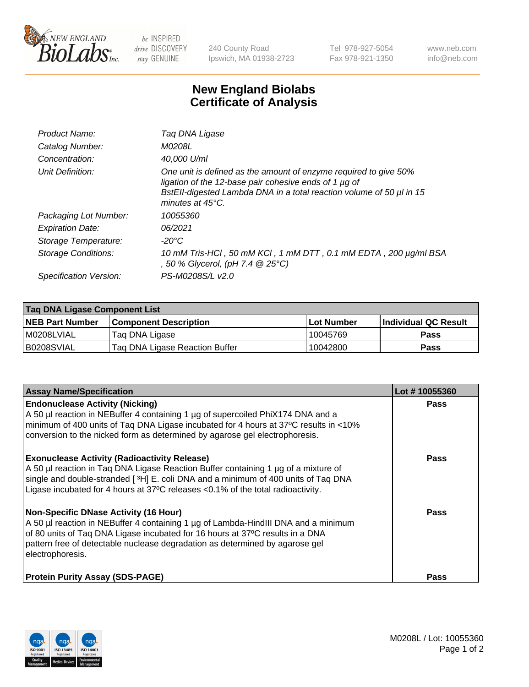

 $be$  INSPIRED drive DISCOVERY stay GENUINE

240 County Road Ipswich, MA 01938-2723 Tel 978-927-5054 Fax 978-921-1350 www.neb.com info@neb.com

## **New England Biolabs Certificate of Analysis**

| Product Name:              | Tag DNA Ligase                                                                                                                                                                                                                  |
|----------------------------|---------------------------------------------------------------------------------------------------------------------------------------------------------------------------------------------------------------------------------|
| Catalog Number:            | M0208L                                                                                                                                                                                                                          |
| Concentration:             | 40.000 U/ml                                                                                                                                                                                                                     |
| Unit Definition:           | One unit is defined as the amount of enzyme required to give 50%<br>ligation of the 12-base pair cohesive ends of 1 µg of<br>BstEll-digested Lambda DNA in a total reaction volume of 50 µl in 15<br>minutes at $45^{\circ}$ C. |
| Packaging Lot Number:      | 10055360                                                                                                                                                                                                                        |
| <b>Expiration Date:</b>    | 06/2021                                                                                                                                                                                                                         |
| Storage Temperature:       | $-20^{\circ}$ C                                                                                                                                                                                                                 |
| <b>Storage Conditions:</b> | 10 mM Tris-HCl, 50 mM KCl, 1 mM DTT, 0.1 mM EDTA, 200 µg/ml BSA<br>, 50 % Glycerol, (pH 7.4 $@25°C$ )                                                                                                                           |
| Specification Version:     | PS-M0208S/L v2.0                                                                                                                                                                                                                |

| Taq DNA Ligase Component List |                                |            |                      |  |
|-------------------------------|--------------------------------|------------|----------------------|--|
| <b>NEB Part Number</b>        | <b>Component Description</b>   | Lot Number | Individual QC Result |  |
| I M0208LVIAL                  | Tag DNA Ligase                 | 10045769   | <b>Pass</b>          |  |
| B0208SVIAL                    | Taq DNA Ligase Reaction Buffer | 10042800   | Pass                 |  |

| <b>Assay Name/Specification</b>                                                                                                                                                                                                                                                                                         | Lot #10055360 |
|-------------------------------------------------------------------------------------------------------------------------------------------------------------------------------------------------------------------------------------------------------------------------------------------------------------------------|---------------|
| <b>Endonuclease Activity (Nicking)</b><br>A 50 µl reaction in NEBuffer 4 containing 1 µg of supercoiled PhiX174 DNA and a<br>minimum of 400 units of Taq DNA Ligase incubated for 4 hours at 37°C results in <10%<br>conversion to the nicked form as determined by agarose gel electrophoresis.                        | <b>Pass</b>   |
| <b>Exonuclease Activity (Radioactivity Release)</b><br>A 50 µl reaction in Taq DNA Ligase Reaction Buffer containing 1 µg of a mixture of<br>single and double-stranded [3H] E. coli DNA and a minimum of 400 units of Taq DNA<br>Ligase incubated for 4 hours at 37°C releases <0.1% of the total radioactivity.       | <b>Pass</b>   |
| <b>Non-Specific DNase Activity (16 Hour)</b><br>A 50 µl reaction in NEBuffer 4 containing 1 µg of Lambda-HindIII DNA and a minimum<br>of 80 units of Taq DNA Ligase incubated for 16 hours at 37°C results in a DNA<br>pattern free of detectable nuclease degradation as determined by agarose gel<br>electrophoresis. | <b>Pass</b>   |
| <b>Protein Purity Assay (SDS-PAGE)</b>                                                                                                                                                                                                                                                                                  | <b>Pass</b>   |